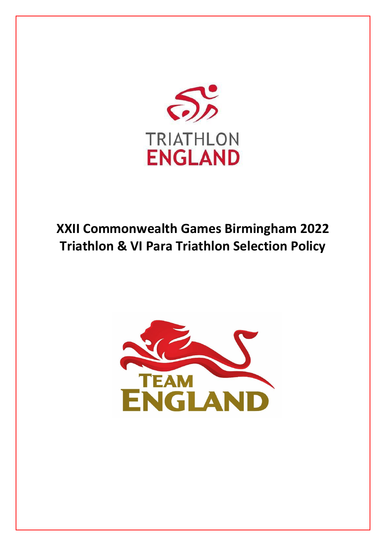

# **XXII Commonwealth Games Birmingham 2022 Triathlon & VI Para Triathlon Selection Policy**

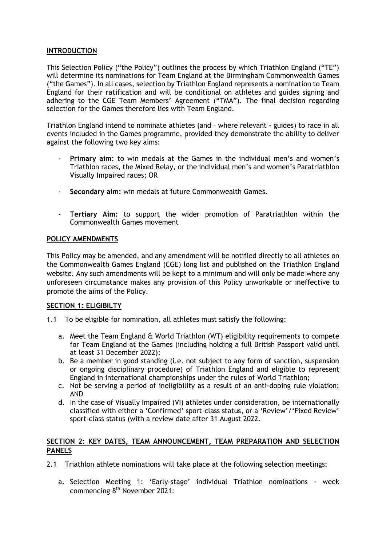## **INTRODUCTION**

This Selection Policy ("the Policy") outlines the process by which Triathlon England ("TE") will determine its nominations for Team England at the Birmingham Commonwealth Games ("the Games"). In all cases, selection by Triathlon England represents a nomination to Team England for their ratification and will be conditional on athletes and guides signing and adhering to the CGE Team Members' Agreement ("TMA"). The final decision regarding selection for the Games therefore lies with Team England.

Triathlon England intend to nominate athletes (and – where relevant - guides) to race in all events included in the Games programme, provided they demonstrate the ability to deliver against the following two key aims:

- **Primary aim:** to win medals at the Games in the individual men's and women's Triathlon races, the Mixed Relay, or the individual men's and women's Paratriathlon Visually Impaired races; OR
- **Secondary aim:** win medals at future Commonwealth Games.
- **Tertiary Aim:** to support the wider promotion of Paratriathlon within the Commonwealth Games movement

## **POLICY AMENDMENTS**

This Policy may be amended, and any amendment will be notified directly to all athletes on the Commonwealth Games England (CGE) long list and published on the Triathlon England website. Any such amendments will be kept to a minimum and will only be made where any unforeseen circumstance makes any provision of this Policy unworkable or ineffective to promote the aims of the Policy.

## **SECTION 1: ELIGIBILTY**

- 1.1 To be eligible for nomination, all athletes must satisfy the following:
	- a. Meet the Team England & World Triathlon (WT) eligibility requirements to compete for Team England at the Games (including holding a full British Passport valid until at least 31 December 2022);
	- b. Be a member in good standing (i.e. not subject to any form of sanction, suspension or ongoing disciplinary procedure) of Triathlon England and eligible to represent England in international championships under the rules of World Triathlon;
	- c. Not be serving a period of ineligibility as a result of an anti-doping rule violation; AND
	- d. In the case of Visually Impaired (VI) athletes under consideration, be internationally classified with either a 'Confirmed' sport-class status, or a 'Review'/'Fixed Review' sport-class status (with a review date after 31 August 2022.

## **SECTION 2: KEY DATES, TEAM ANNOUNCEMENT, TEAM PREPARATION AND SELECTION PANELS**

- 2.1 Triathlon athlete nominations will take place at the following selection meetings:
	- a. Selection Meeting 1: 'Early-stage' individual Triathlon nominations week commencing 8<sup>th</sup> November 2021: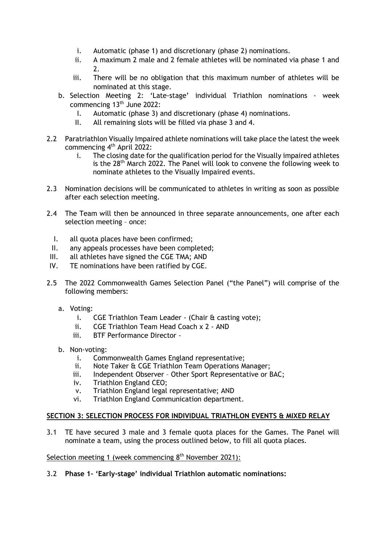- i. Automatic (phase 1) and discretionary (phase 2) nominations.
- ii. A maximum 2 male and 2 female athletes will be nominated via phase 1 and 2.
- iii. There will be no obligation that this maximum number of athletes will be nominated at this stage.
- b. Selection Meeting 2: 'Late-stage' individual Triathlon nominations week commencing 13<sup>th</sup> June 2022:
	- I. Automatic (phase 3) and discretionary (phase 4) nominations.
	- II. All remaining slots will be filled via phase 3 and 4.
- 2.2 Paratriathlon Visually Impaired athlete nominations will take place the latest the week commencing 4<sup>th</sup> April 2022:
	- i. The closing date for the qualification period for the Visually impaired athletes is the 28<sup>th</sup> March 2022. The Panel will look to convene the following week to nominate athletes to the Visually Impaired events.
- 2.3 Nomination decisions will be communicated to athletes in writing as soon as possible after each selection meeting.
- 2.4 The Team will then be announced in three separate announcements, one after each selection meeting – once:
	- I. all quota places have been confirmed;
	- II. any appeals processes have been completed;
- III. all athletes have signed the CGE TMA; AND
- IV. TE nominations have been ratified by CGE.
- 2.5 The 2022 Commonwealth Games Selection Panel ("the Panel") will comprise of the following members:
	- a. Voting:
		- i. CGE Triathlon Team Leader (Chair & casting vote);
		- ii. CGE Triathlon Team Head Coach x 2 AND
		- iii. BTF Performance Director -
	- b. Non-voting:
		- i. Commonwealth Games England representative;
		- ii. Note Taker & CGE Triathlon Team Operations Manager;
		- iii. Independent Observer Other Sport Representative or BAC;
		- iv. Triathlon England CEO;
		- v. Triathlon England legal representative; AND
		- vi. Triathlon England Communication department.

## **SECTION 3: SELECTION PROCESS FOR INDIVIDUAL TRIATHLON EVENTS & MIXED RELAY**

3.1 TE have secured 3 male and 3 female quota places for the Games. The Panel will nominate a team, using the process outlined below, to fill all quota places.

#### Selection meeting 1 (week commencing 8<sup>th</sup> November 2021):

## 3.2 **Phase 1– 'Early-stage' individual Triathlon automatic nominations:**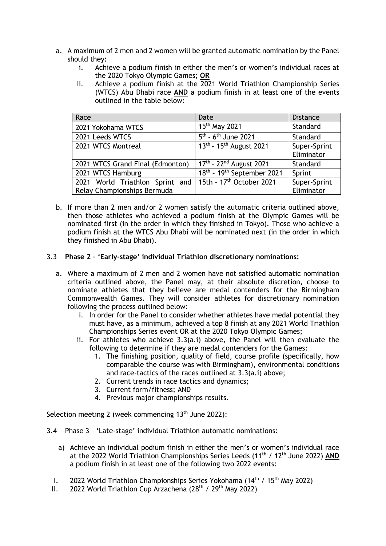- a. A maximum of 2 men and 2 women will be granted automatic nomination by the Panel should they:
	- i. Achieve a podium finish in either the men's or women's individual races at the 2020 Tokyo Olympic Games; **OR**
	- ii. Achieve a podium finish at the  $\overline{2021}$  World Triathlon Championship Series (WTCS) Abu Dhabi race **AND** a podium finish in at least one of the events outlined in the table below:

| Race                                                       | Date                                               | <b>Distance</b>            |
|------------------------------------------------------------|----------------------------------------------------|----------------------------|
| 2021 Yokohama WTCS                                         | 15 <sup>th</sup> May 2021                          | Standard                   |
| 2021 Leeds WTCS                                            | $5^{\text{th}}$ - 6 <sup>th</sup> June 2021        | Standard                   |
| 2021 WTCS Montreal                                         | $13^{th}$ - 15 <sup>th</sup> August 2021           | Super-Sprint<br>Eliminator |
| 2021 WTCS Grand Final (Edmonton)                           | $17^{\text{th}} - 22^{\text{nd}}$ August 2021      | Standard                   |
| 2021 WTCS Hamburg                                          | 18 <sup>th</sup> - 19 <sup>th</sup> September 2021 | Sprint                     |
| 2021 World Triathlon Sprint and   15th - 17th October 2021 |                                                    | Super-Sprint               |
| Relay Championships Bermuda                                |                                                    | Eliminator                 |

- b. If more than 2 men and/or 2 women satisfy the automatic criteria outlined above, then those athletes who achieved a podium finish at the Olympic Games will be nominated first (in the order in which they finished in Tokyo). Those who achieve a podium finish at the WTCS Abu Dhabi will be nominated next (in the order in which they finished in Abu Dhabi).
- 3.3 **Phase 2 – 'Early-stage' individual Triathlon discretionary nominations:**
	- a. Where a maximum of 2 men and 2 women have not satisfied automatic nomination criteria outlined above, the Panel may, at their absolute discretion, choose to nominate athletes that they believe are medal contenders for the Birmingham Commonwealth Games. They will consider athletes for discretionary nomination following the process outlined below:
		- i. In order for the Panel to consider whether athletes have medal potential they must have, as a minimum, achieved a top 8 finish at any 2021 World Triathlon Championships Series event OR at the 2020 Tokyo Olympic Games;
		- ii. For athletes who achieve 3.3(a.i) above, the Panel will then evaluate the following to determine if they are medal contenders for the Games:
			- 1. The finishing position, quality of field, course profile (specifically, how comparable the course was with Birmingham), environmental conditions and race-tactics of the races outlined at 3.3(a.i) above;
			- 2. Current trends in race tactics and dynamics;
			- 3. Current form/fitness; AND
			- 4. Previous major championships results.

#### Selection meeting 2 (week commencing 13<sup>th</sup> June 2022):

- 3.4 Phase 3 'Late-stage' individual Triathlon automatic nominations:
	- a) Achieve an individual podium finish in either the men's or women's individual race at the 2022 World Triathlon Championships Series Leeds (11th / 12th June 2022) **AND** a podium finish in at least one of the following two 2022 events:
	- I. 2022 World Triathlon Championships Series Yokohama ( $14<sup>th</sup>$  /  $15<sup>th</sup>$  May 2022)
	- II. 2022 World Triathlon Cup Arzachena  $(28<sup>th</sup> / 29<sup>th</sup>$  May 2022)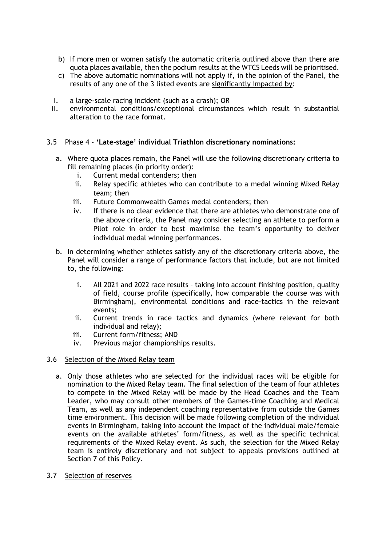- b) If more men or women satisfy the automatic criteria outlined above than there are quota places available, then the podium results at the WTCS Leeds will be prioritised.
- c) The above automatic nominations will not apply if, in the opinion of the Panel, the results of any one of the 3 listed events are significantly impacted by:
- I. a large-scale racing incident (such as a crash); OR
- II. environmental conditions/exceptional circumstances which result in substantial alteration to the race format.
- 3.5 Phase 4 **'Late-stage' individual Triathlon discretionary nominations:**
	- a. Where quota places remain, the Panel will use the following discretionary criteria to fill remaining places (in priority order):
		- i. Current medal contenders; then
		- ii. Relay specific athletes who can contribute to a medal winning Mixed Relay team; then
		- iii. Future Commonwealth Games medal contenders; then
		- iv. If there is no clear evidence that there are athletes who demonstrate one of the above criteria, the Panel may consider selecting an athlete to perform a Pilot role in order to best maximise the team's opportunity to deliver individual medal winning performances.
	- b. In determining whether athletes satisfy any of the discretionary criteria above, the Panel will consider a range of performance factors that include, but are not limited to, the following:
		- i. All 2021 and 2022 race results taking into account finishing position, quality of field, course profile (specifically, how comparable the course was with Birmingham), environmental conditions and race-tactics in the relevant events;
		- ii. Current trends in race tactics and dynamics (where relevant for both individual and relay);
		- iii. Current form/fitness; AND
		- iv. Previous major championships results.
- 3.6 Selection of the Mixed Relay team
	- a. Only those athletes who are selected for the individual races will be eligible for nomination to the Mixed Relay team. The final selection of the team of four athletes to compete in the Mixed Relay will be made by the Head Coaches and the Team Leader, who may consult other members of the Games-time Coaching and Medical Team, as well as any independent coaching representative from outside the Games time environment. This decision will be made following completion of the individual events in Birmingham, taking into account the impact of the individual male/female events on the available athletes' form/fitness, as well as the specific technical requirements of the Mixed Relay event. As such, the selection for the Mixed Relay team is entirely discretionary and not subject to appeals provisions outlined at Section 7 of this Policy.
- 3.7 Selection of reserves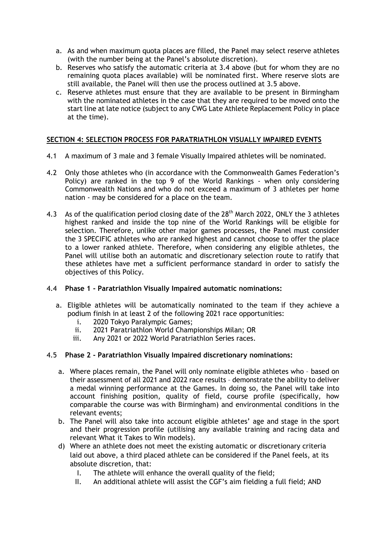- a. As and when maximum quota places are filled, the Panel may select reserve athletes (with the number being at the Panel's absolute discretion).
- b. Reserves who satisfy the automatic criteria at 3.4 above (but for whom they are no remaining quota places available) will be nominated first. Where reserve slots are still available, the Panel will then use the process outlined at 3.5 above.
- c. Reserve athletes must ensure that they are available to be present in Birmingham with the nominated athletes in the case that they are required to be moved onto the start line at late notice (subject to any CWG Late Athlete Replacement Policy in place at the time).

# **SECTION 4: SELECTION PROCESS FOR PARATRIATHLON VISUALLY IMPAIRED EVENTS**

- 4.1 A maximum of 3 male and 3 female Visually Impaired athletes will be nominated.
- 4.2 Only those athletes who (in accordance with the Commonwealth Games Federation's Policy) are ranked in the top 9 of the World Rankings - when only considering Commonwealth Nations and who do not exceed a maximum of 3 athletes per home nation - may be considered for a place on the team.
- 4.3 As of the qualification period closing date of the 28<sup>th</sup> March 2022, ONLY the 3 athletes highest ranked and inside the top nine of the World Rankings will be eligible for selection. Therefore, unlike other major games processes, the Panel must consider the 3 SPECIFIC athletes who are ranked highest and cannot choose to offer the place to a lower ranked athlete. Therefore, when considering any eligible athletes, the Panel will utilise both an automatic and discretionary selection route to ratify that these athletes have met a sufficient performance standard in order to satisfy the objectives of this Policy.

# 4.4 **Phase 1 - Paratriathlon Visually Impaired automatic nominations:**

- a. Eligible athletes will be automatically nominated to the team if they achieve a podium finish in at least 2 of the following 2021 race opportunities:
	- i. 2020 Tokyo Paralympic Games;
	- ii. 2021 Paratriathlon World Championships Milan; OR
	- iii. Any 2021 or 2022 World Paratriathlon Series races.

# 4.5 **Phase 2 - Paratriathlon Visually Impaired discretionary nominations:**

- a. Where places remain, the Panel will only nominate eligible athletes who based on their assessment of all 2021 and 2022 race results – demonstrate the ability to deliver a medal winning performance at the Games. In doing so, the Panel will take into account finishing position, quality of field, course profile (specifically, how comparable the course was with Birmingham) and environmental conditions in the relevant events;
- b. The Panel will also take into account eligible athletes' age and stage in the sport and their progression profile (utilising any available training and racing data and relevant What it Takes to Win models).
- d) Where an athlete does not meet the existing automatic or discretionary criteria laid out above, a third placed athlete can be considered if the Panel feels, at its absolute discretion, that:
	- I. The athlete will enhance the overall quality of the field;
	- II. An additional athlete will assist the CGF's aim fielding a full field; AND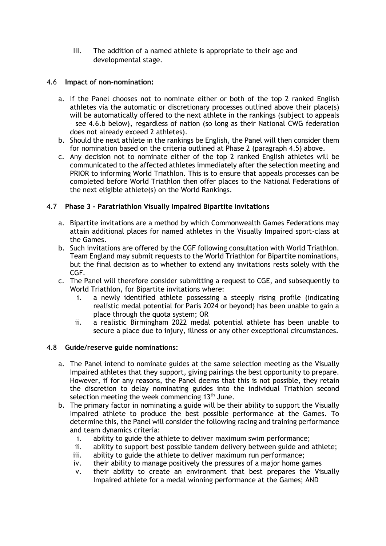III. The addition of a named athlete is appropriate to their age and developmental stage.

## 4.6 **Impact of non-nomination:**

- a. If the Panel chooses not to nominate either or both of the top 2 ranked English athletes via the automatic or discretionary processes outlined above their place(s) will be automatically offered to the next athlete in the rankings (subject to appeals – see 4.6.b below), regardless of nation (so long as their National CWG federation does not already exceed 2 athletes).
- b. Should the next athlete in the rankings be English, the Panel will then consider them for nomination based on the criteria outlined at Phase 2 (paragraph 4.5) above.
- c. Any decision not to nominate either of the top 2 ranked English athletes will be communicated to the affected athletes immediately after the selection meeting and PRIOR to informing World Triathlon. This is to ensure that appeals processes can be completed before World Triathlon then offer places to the National Federations of the next eligible athlete(s) on the World Rankings.

## 4.7 **Phase 3 – Paratriathlon Visually Impaired Bipartite Invitations**

- a. Bipartite invitations are a method by which Commonwealth Games Federations may attain additional places for named athletes in the Visually Impaired sport-class at the Games.
- b. Such invitations are offered by the CGF following consultation with World Triathlon. Team England may submit requests to the World Triathlon for Bipartite nominations, but the final decision as to whether to extend any invitations rests solely with the CGF.
- c. The Panel will therefore consider submitting a request to CGE, and subsequently to World Triathlon, for Bipartite invitations where:
	- i. a newly identified athlete possessing a steeply rising profile (indicating realistic medal potential for Paris 2024 or beyond) has been unable to gain a place through the quota system; OR
	- ii. a realistic Birmingham 2022 medal potential athlete has been unable to secure a place due to injury, illness or any other exceptional circumstances.

## 4.8 **Guide/reserve guide nominations:**

- a. The Panel intend to nominate guides at the same selection meeting as the Visually Impaired athletes that they support, giving pairings the best opportunity to prepare. However, if for any reasons, the Panel deems that this is not possible, they retain the discretion to delay nominating guides into the individual Triathlon second selection meeting the week commencing  $13<sup>th</sup>$  June.
- b. The primary factor in nominating a guide will be their ability to support the Visually Impaired athlete to produce the best possible performance at the Games. To determine this, the Panel will consider the following racing and training performance and team dynamics criteria:
	- i. ability to guide the athlete to deliver maximum swim performance;
	- ii. ability to support best possible tandem delivery between guide and athlete;
	- iii. ability to guide the athlete to deliver maximum run performance;
	- iv. their ability to manage positively the pressures of a major home games
	- v. their ability to create an environment that best prepares the Visually Impaired athlete for a medal winning performance at the Games; AND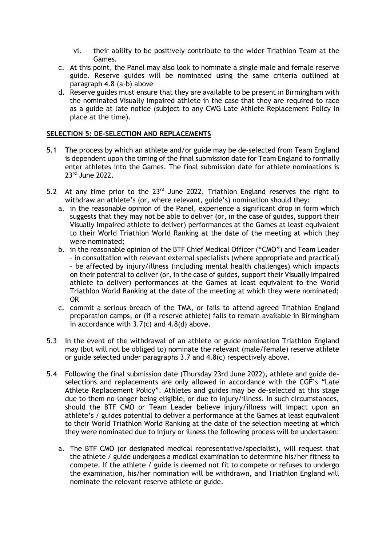- vi. their ability to be positively contribute to the wider Triathlon Team at the Games.
- c. At this point, the Panel may also look to nominate a single male and female reserve guide. Reserve guides will be nominated using the same criteria outlined at paragraph 4.8 (a-b) above
- d. Reserve guides must ensure that they are available to be present in Birmingham with the nominated Visually Impaired athlete in the case that they are required to race as a guide at late notice (subject to any CWG Late Athlete Replacement Policy in place at the time).

## **SELECTION 5: DE-SELECTION AND REPLACEMENTS**

- 5.1 **T**he process by which an athlete and/or guide may be de-selected from Team England is dependent upon the timing of the final submission date for Team England to formally enter athletes into the Games. The final submission date for athlete nominations is 23rd June 2022.
- 5.2 At any time prior to the 23<sup>rd</sup> June 2022, Triathlon England reserves the right to withdraw an athlete's (or, where relevant, guide's) nomination should they:
	- a. in the reasonable opinion of the Panel, experience a significant drop in form which suggests that they may not be able to deliver (or, in the case of guides, support their Visually Impaired athlete to deliver) performances at the Games at least equivalent to their World Triathlon World Ranking at the date of the meeting at which they were nominated;
	- b. in the reasonable opinion of the BTF Chief Medical Officer ("CMO") and Team Leader – in consultation with relevant external specialists (where appropriate and practical) – be affected by injury/illness (including mental health challenges) which impacts on their potential to deliver (or, in the case of guides, support their Visually Impaired athlete to deliver) performances at the Games at least equivalent to the World Triathlon World Ranking at the date of the meeting at which they were nominated; OR
	- c. commit a serious breach of the TMA, or fails to attend agreed Triathlon England preparation camps, or (if a reserve athlete) fails to remain available in Birmingham in accordance with 3.7(c) and 4.8(d) above.
- 5.3 In the event of the withdrawal of an athlete or guide nomination Triathlon England may (but will not be obliged to) nominate the relevant (male/female) reserve athlete or guide selected under paragraphs 3.7 and 4.8(c) respectively above.
- 5.4 Following the final submission date (Thursday 23rd June 2022), athlete and guide deselections and replacements are only allowed in accordance with the CGF's "Late Athlete Replacement Policy". Athletes and guides may be de-selected at this stage due to them no-longer being eligible, or due to injury/illness. In such circumstances, should the BTF CMO or Team Leader believe injury/illness will impact upon an athlete's / guides potential to deliver a performance at the Games at least equivalent to their World Triathlon World Ranking at the date of the selection meeting at which they were nominated due to injury or illness the following process will be undertaken:
	- a. The BTF CMO (or designated medical representative/specialist), will request that the athlete / guide undergoes a medical examination to determine his/her fitness to compete. If the athlete / guide is deemed not fit to compete or refuses to undergo the examination, his/her nomination will be withdrawn, and Triathlon England will nominate the relevant reserve athlete or guide.